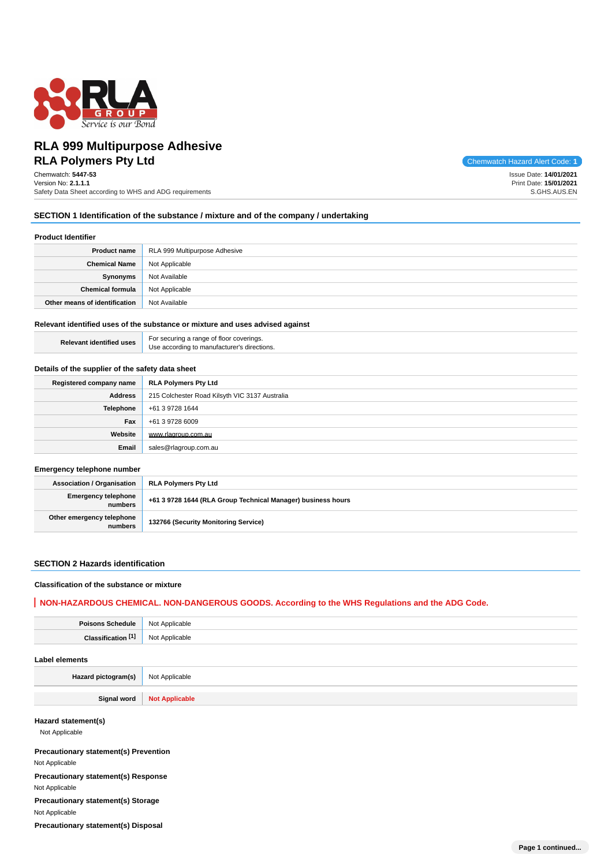

# **RLA Polymers Pty Ltd** Chemwatch Hazard Alert Code: 1 **RLA 999 Multipurpose Adhesive**

Chemwatch: **5447-53** Version No: **2.1.1.1** Safety Data Sheet according to WHS and ADG requirements

Issue Date: **14/01/2021** Print Date: **15/01/2021** S.GHS.AUS.EN

#### **SECTION 1 Identification of the substance / mixture and of the company / undertaking**

#### **Product Identifier**

|                               | <b>Product name</b>   RLA 999 Multipurpose Adhesive |
|-------------------------------|-----------------------------------------------------|
| <b>Chemical Name</b>          | Not Applicable                                      |
| Synonyms                      | Not Available                                       |
| <b>Chemical formula</b>       | Not Applicable                                      |
| Other means of identification | Not Available                                       |

#### **Relevant identified uses of the substance or mixture and uses advised against**

**Relevant identified uses** For securing a range of floor coverings. Use according to manufacturer's directions.

#### **Details of the supplier of the safety data sheet**

| Registered company name | <b>RLA Polymers Pty Ltd</b>                    |
|-------------------------|------------------------------------------------|
| Address                 | 215 Colchester Road Kilsyth VIC 3137 Australia |
| Telephone               | +61 3 9728 1644                                |
| Fax                     | +61 3 9728 6009                                |
| Website                 | www.rlagroup.com.au                            |
| Email                   | sales@rlagroup.com.au                          |

#### **Emergency telephone number**

| <b>Association / Organisation</b>    | <b>RLA Polymers Pty Ltd</b>                                  |
|--------------------------------------|--------------------------------------------------------------|
| Emergency telephone<br>numbers       | +61 3 9728 1644 (RLA Group Technical Manager) business hours |
| Other emergency telephone<br>numbers | 132766 (Security Monitoring Service)                         |

#### **SECTION 2 Hazards identification**

#### **Classification of the substance or mixture**

## **NON-HAZARDOUS CHEMICAL. NON-DANGEROUS GOODS. According to the WHS Regulations and the ADG Code.**

| <b>Poisons Schedule</b>                      | Not Applicable        |                  |
|----------------------------------------------|-----------------------|------------------|
| Classification <sup>[1]</sup>                | Not Applicable        |                  |
| <b>Label elements</b>                        |                       |                  |
| Hazard pictogram(s)                          | Not Applicable        |                  |
| Signal word                                  | <b>Not Applicable</b> |                  |
| Hazard statement(s)<br>Not Applicable        |                       |                  |
| <b>Precautionary statement(s) Prevention</b> |                       |                  |
| Not Applicable                               |                       |                  |
| Precautionary statement(s) Response          |                       |                  |
| Not Applicable                               |                       |                  |
| Precautionary statement(s) Storage           |                       |                  |
| Not Applicable                               |                       |                  |
| Precautionary statement(s) Disposal          |                       |                  |
|                                              |                       | Page 1 continued |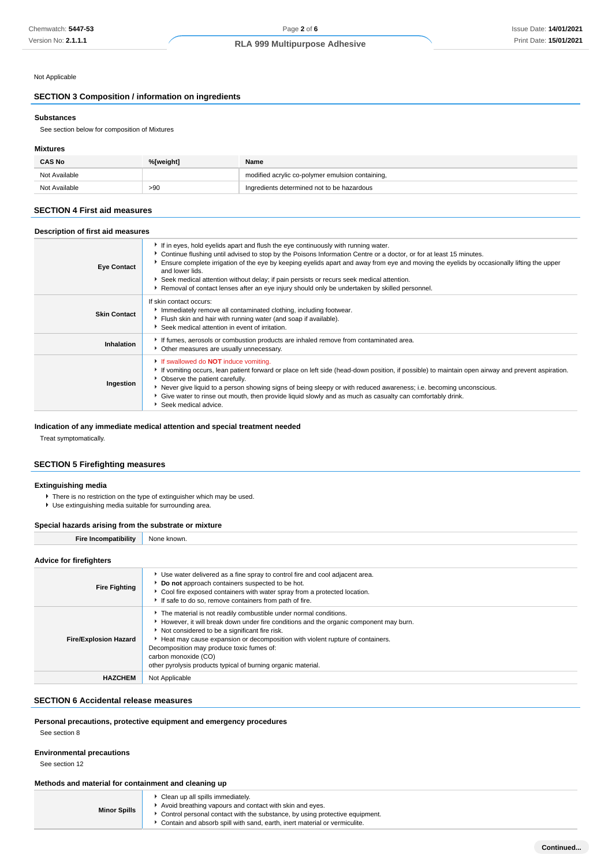## Not Applicable

## **SECTION 3 Composition / information on ingredients**

#### **Substances**

See section below for composition of Mixtures

#### **Mixtures**

| <b>CAS No</b> | %[weight] | Name                                             |
|---------------|-----------|--------------------------------------------------|
| Not Available |           | modified acrylic co-polymer emulsion containing, |
| Not Available | >90       | Ingredients determined not to be hazardous       |

#### **SECTION 4 First aid measures**

## **Description of first aid measures**

| <b>Eye Contact</b>  | If in eyes, hold eyelids apart and flush the eye continuously with running water.<br>▶ Continue flushing until advised to stop by the Poisons Information Centre or a doctor, or for at least 15 minutes.<br>Ensure complete irrigation of the eye by keeping eyelids apart and away from eye and moving the eyelids by occasionally lifting the upper<br>and lower lids.<br>▶ Seek medical attention without delay; if pain persists or recurs seek medical attention.<br>▶ Removal of contact lenses after an eye injury should only be undertaken by skilled personnel. |
|---------------------|----------------------------------------------------------------------------------------------------------------------------------------------------------------------------------------------------------------------------------------------------------------------------------------------------------------------------------------------------------------------------------------------------------------------------------------------------------------------------------------------------------------------------------------------------------------------------|
| <b>Skin Contact</b> | If skin contact occurs:<br>Immediately remove all contaminated clothing, including footwear.<br>Flush skin and hair with running water (and soap if available).<br>Seek medical attention in event of irritation.                                                                                                                                                                                                                                                                                                                                                          |
| Inhalation          | If fumes, aerosols or combustion products are inhaled remove from contaminated area.<br>• Other measures are usually unnecessary.                                                                                                                                                                                                                                                                                                                                                                                                                                          |
| Ingestion           | If swallowed do <b>NOT</b> induce vomiting.<br>If vomiting occurs, lean patient forward or place on left side (head-down position, if possible) to maintain open airway and prevent aspiration.<br>• Observe the patient carefully.<br>▶ Never give liquid to a person showing signs of being sleepy or with reduced awareness; i.e. becoming unconscious.<br>• Give water to rinse out mouth, then provide liquid slowly and as much as casualty can comfortably drink.<br>Seek medical advice.                                                                           |

#### **Indication of any immediate medical attention and special treatment needed**

Treat symptomatically.

#### **SECTION 5 Firefighting measures**

#### **Extinguishing media**

There is no restriction on the type of extinguisher which may be used. Use extinguishing media suitable for surrounding area.

## **Special hazards arising from the substrate or mixture**

| <br>e Incompatibilitv<br>∼ıre | ר known.<br>None |
|-------------------------------|------------------|

## **Advice for firefighters**

| <b>Fire Fighting</b>         | ► Use water delivered as a fine spray to control fire and cool adjacent area.<br>Do not approach containers suspected to be hot.<br>Cool fire exposed containers with water spray from a protected location.<br>If safe to do so, remove containers from path of fire.                                                                                                                                                              |
|------------------------------|-------------------------------------------------------------------------------------------------------------------------------------------------------------------------------------------------------------------------------------------------------------------------------------------------------------------------------------------------------------------------------------------------------------------------------------|
| <b>Fire/Explosion Hazard</b> | The material is not readily combustible under normal conditions.<br>► However, it will break down under fire conditions and the organic component may burn.<br>Not considered to be a significant fire risk.<br>Heat may cause expansion or decomposition with violent rupture of containers.<br>Decomposition may produce toxic fumes of:<br>carbon monoxide (CO)<br>other pyrolysis products typical of burning organic material. |
| <b>HAZCHEM</b>               | Not Applicable                                                                                                                                                                                                                                                                                                                                                                                                                      |

#### **SECTION 6 Accidental release measures**

**Personal precautions, protective equipment and emergency procedures**

See section 8

#### **Environmental precautions**

See section 12

#### **Methods and material for containment and cleaning up**

**Minor Spills** Clean up all spills immediately. Avoid breathing vapours and contact with skin and eyes.

Control personal contact with the substance, by using protective equipment. Contain and absorb spill with sand, earth, inert material or vermiculite.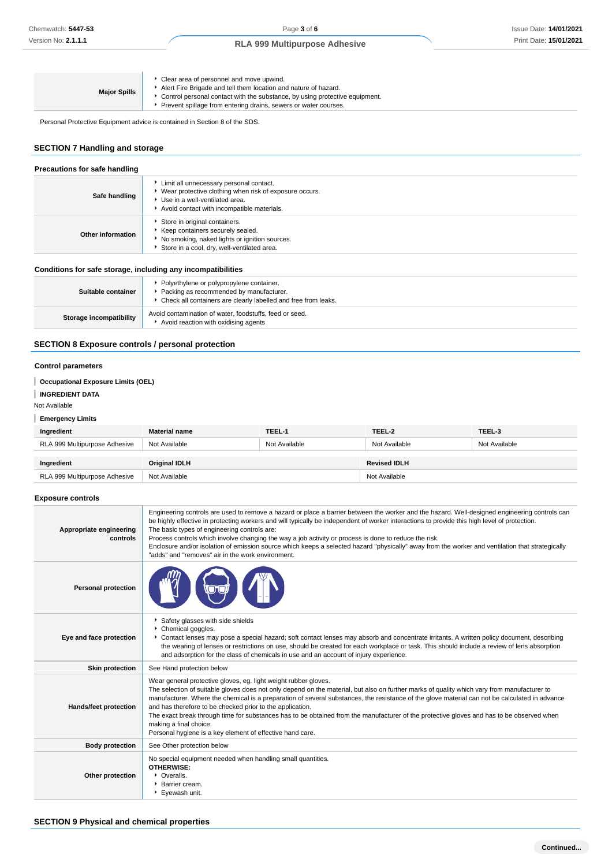| Clear area of personnel and move upwind.<br>Alert Fire Brigade and tell them location and nature of hazard.<br><b>Major Spills</b><br>► Control personal contact with the substance, by using protective equipment.<br>Prevent spillage from entering drains, sewers or water courses. |  |
|----------------------------------------------------------------------------------------------------------------------------------------------------------------------------------------------------------------------------------------------------------------------------------------|--|
|----------------------------------------------------------------------------------------------------------------------------------------------------------------------------------------------------------------------------------------------------------------------------------------|--|

Personal Protective Equipment advice is contained in Section 8 of the SDS.

## **SECTION 7 Handling and storage**

| Precautions for safe handling                                |                                                                                                                                                                                       |  |
|--------------------------------------------------------------|---------------------------------------------------------------------------------------------------------------------------------------------------------------------------------------|--|
| Safe handling                                                | Limit all unnecessary personal contact.<br>• Wear protective clothing when risk of exposure occurs.<br>▶ Use in a well-ventilated area.<br>Avoid contact with incompatible materials. |  |
| Other information                                            | Store in original containers.<br>Keep containers securely sealed.<br>No smoking, naked lights or ignition sources.<br>Store in a cool, dry, well-ventilated area.                     |  |
| Conditions for safe storage, including any incompatibilities |                                                                                                                                                                                       |  |
| Suitable container                                           | • Polyethylene or polypropylene container.<br>• Packing as recommended by manufacturer.<br>• Check all containers are clearly labelled and free from leaks.                           |  |
| Storage incompatibility                                      | Avoid contamination of water, foodstuffs, feed or seed.<br>Avoid reaction with oxidising agents                                                                                       |  |

## **SECTION 8 Exposure controls / personal protection**

## **Control parameters**

| <b>Occupational Exposure Limits (OEL)</b> |                      |               |                     |               |
|-------------------------------------------|----------------------|---------------|---------------------|---------------|
| <b>INGREDIENT DATA</b>                    |                      |               |                     |               |
| Not Available                             |                      |               |                     |               |
| <b>Emergency Limits</b>                   |                      |               |                     |               |
| Ingredient                                | <b>Material name</b> | TEEL-1        | TEEL-2              | TEEL-3        |
| RLA 999 Multipurpose Adhesive             | Not Available        | Not Available | Not Available       | Not Available |
|                                           |                      |               |                     |               |
| Ingredient                                | <b>Original IDLH</b> |               | <b>Revised IDLH</b> |               |
| RLA 999 Multipurpose Adhesive             | Not Available        |               | Not Available       |               |

## **Exposure controls**

| Appropriate engineering<br>controls | Engineering controls are used to remove a hazard or place a barrier between the worker and the hazard. Well-designed engineering controls can<br>be highly effective in protecting workers and will typically be independent of worker interactions to provide this high level of protection.<br>The basic types of engineering controls are:<br>Process controls which involve changing the way a job activity or process is done to reduce the risk.<br>Enclosure and/or isolation of emission source which keeps a selected hazard "physically" away from the worker and ventilation that strategically<br>"adds" and "removes" air in the work environment.   |  |  |
|-------------------------------------|-------------------------------------------------------------------------------------------------------------------------------------------------------------------------------------------------------------------------------------------------------------------------------------------------------------------------------------------------------------------------------------------------------------------------------------------------------------------------------------------------------------------------------------------------------------------------------------------------------------------------------------------------------------------|--|--|
| <b>Personal protection</b>          |                                                                                                                                                                                                                                                                                                                                                                                                                                                                                                                                                                                                                                                                   |  |  |
| Eye and face protection             | Safety glasses with side shields<br>Chemical goggles.<br>▶ Contact lenses may pose a special hazard; soft contact lenses may absorb and concentrate irritants. A written policy document, describing<br>the wearing of lenses or restrictions on use, should be created for each workplace or task. This should include a review of lens absorption<br>and adsorption for the class of chemicals in use and an account of injury experience.                                                                                                                                                                                                                      |  |  |
| <b>Skin protection</b>              | See Hand protection below                                                                                                                                                                                                                                                                                                                                                                                                                                                                                                                                                                                                                                         |  |  |
| Hands/feet protection               | Wear general protective gloves, eg. light weight rubber gloves.<br>The selection of suitable gloves does not only depend on the material, but also on further marks of quality which vary from manufacturer to<br>manufacturer. Where the chemical is a preparation of several substances, the resistance of the glove material can not be calculated in advance<br>and has therefore to be checked prior to the application.<br>The exact break through time for substances has to be obtained from the manufacturer of the protective gloves and has to be observed when<br>making a final choice.<br>Personal hygiene is a key element of effective hand care. |  |  |
| <b>Body protection</b>              | See Other protection below                                                                                                                                                                                                                                                                                                                                                                                                                                                                                                                                                                                                                                        |  |  |
| Other protection                    | No special equipment needed when handling small quantities.<br><b>OTHERWISE:</b><br>• Overalls.<br><b>Barrier cream.</b><br>Eyewash unit.                                                                                                                                                                                                                                                                                                                                                                                                                                                                                                                         |  |  |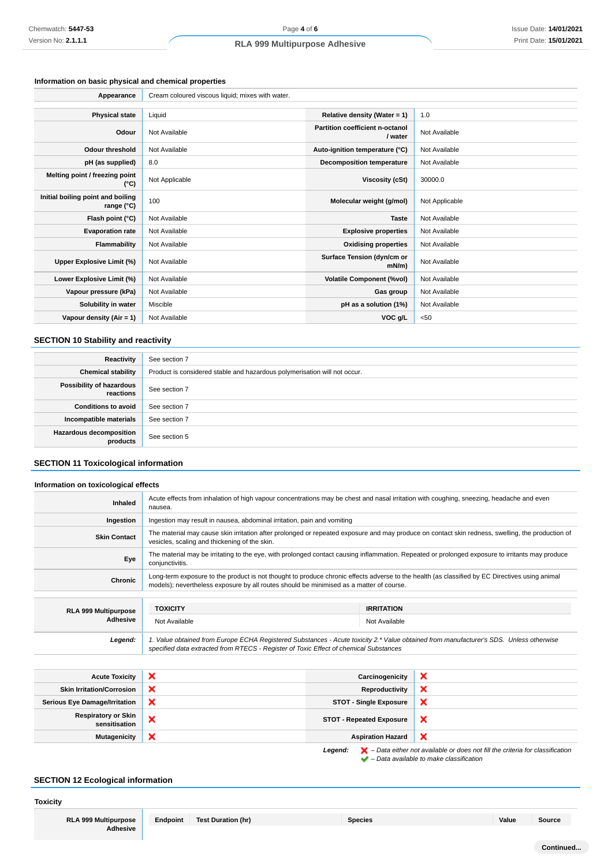## **Information on basic physical and chemical properties**

| Appearance                                      | Cream coloured viscous liquid; mixes with water. |                                            |                |
|-------------------------------------------------|--------------------------------------------------|--------------------------------------------|----------------|
|                                                 |                                                  |                                            |                |
| <b>Physical state</b>                           | Liquid                                           | Relative density (Water = 1)               | 1.0            |
| Odour                                           | Not Available                                    | Partition coefficient n-octanol<br>/ water | Not Available  |
| <b>Odour threshold</b>                          | Not Available                                    | Auto-ignition temperature (°C)             | Not Available  |
| pH (as supplied)                                | 8.0                                              | Decomposition temperature                  | Not Available  |
| Melting point / freezing point<br>(°C)          | Not Applicable                                   | Viscosity (cSt)                            | 30000.0        |
| Initial boiling point and boiling<br>range (°C) | 100                                              | Molecular weight (g/mol)                   | Not Applicable |
| Flash point (°C)                                | Not Available                                    | <b>Taste</b>                               | Not Available  |
| <b>Evaporation rate</b>                         | Not Available                                    | <b>Explosive properties</b>                | Not Available  |
| Flammability                                    | Not Available                                    | <b>Oxidising properties</b>                | Not Available  |
| Upper Explosive Limit (%)                       | Not Available                                    | Surface Tension (dyn/cm or<br>mN/m         | Not Available  |
| Lower Explosive Limit (%)                       | Not Available                                    | <b>Volatile Component (%vol)</b>           | Not Available  |
| Vapour pressure (kPa)                           | Not Available                                    | Gas group                                  | Not Available  |
| Solubility in water                             | Miscible                                         | pH as a solution (1%)                      | Not Available  |
| Vapour density (Air = 1)                        | Not Available                                    | VOC g/L                                    | < 50           |

## **SECTION 10 Stability and reactivity**

| Reactivity                                 | See section 7                                                             |
|--------------------------------------------|---------------------------------------------------------------------------|
| <b>Chemical stability</b>                  | Product is considered stable and hazardous polymerisation will not occur. |
| Possibility of hazardous<br>reactions      | See section 7                                                             |
| <b>Conditions to avoid</b>                 | See section 7                                                             |
| Incompatible materials                     | See section 7                                                             |
| <b>Hazardous decomposition</b><br>products | See section 5                                                             |

## **SECTION 11 Toxicological information**

## **Information on toxicological effects**

| <b>Inhaled</b>              | Acute effects from inhalation of high vapour concentrations may be chest and nasal irritation with coughing, sneezing, headache and even<br>nausea.                                                                                       |                                                                                                                                                 |  |
|-----------------------------|-------------------------------------------------------------------------------------------------------------------------------------------------------------------------------------------------------------------------------------------|-------------------------------------------------------------------------------------------------------------------------------------------------|--|
| Ingestion                   | Ingestion may result in nausea, abdominal irritation, pain and vomiting                                                                                                                                                                   |                                                                                                                                                 |  |
| <b>Skin Contact</b>         | The material may cause skin irritation after prolonged or repeated exposure and may produce on contact skin redness, swelling, the production of<br>vesicles, scaling and thickening of the skin.                                         |                                                                                                                                                 |  |
| Eye                         | conjunctivitis.                                                                                                                                                                                                                           | The material may be irritating to the eye, with prolonged contact causing inflammation. Repeated or prolonged exposure to irritants may produce |  |
| Chronic                     | Long-term exposure to the product is not thought to produce chronic effects adverse to the health (as classified by EC Directives using animal<br>models); nevertheless exposure by all routes should be minimised as a matter of course. |                                                                                                                                                 |  |
|                             |                                                                                                                                                                                                                                           |                                                                                                                                                 |  |
| <b>RLA 999 Multipurpose</b> | <b>TOXICITY</b>                                                                                                                                                                                                                           | <b>IRRITATION</b>                                                                                                                               |  |
| Adhesive                    | Not Available                                                                                                                                                                                                                             | Not Available                                                                                                                                   |  |
| Legend:                     | 1. Value obtained from Europe ECHA Registered Substances - Acute toxicity 2.* Value obtained from manufacturer's SDS. Unless otherwise<br>specified data extracted from RTECS - Register of Toxic Effect of chemical Substances           |                                                                                                                                                 |  |
|                             |                                                                                                                                                                                                                                           |                                                                                                                                                 |  |

| <b>Acute Toxicity</b>                       | $\boldsymbol{\mathsf{x}}$ | Carcinogenicity                 | ×                         |
|---------------------------------------------|---------------------------|---------------------------------|---------------------------|
| <b>Skin Irritation/Corrosion</b>            | ×                         | Reproductivity                  | ×                         |
| <b>Serious Eye Damage/Irritation</b>        | ×                         | <b>STOT - Single Exposure</b>   | ×                         |
| <b>Respiratory or Skin</b><br>sensitisation | ×                         | <b>STOT - Repeated Exposure</b> | $\boldsymbol{\mathsf{x}}$ |
| <b>Mutagenicity</b>                         | ×                         | <b>Aspiration Hazard</b>        | ×                         |
|                                             |                           |                                 |                           |

**Legend:**  $\mathbf{X}$  – Data either not available or does not fill the criteria for classification – Data available to make classification

## **SECTION 12 Ecological information**

**Toxicity**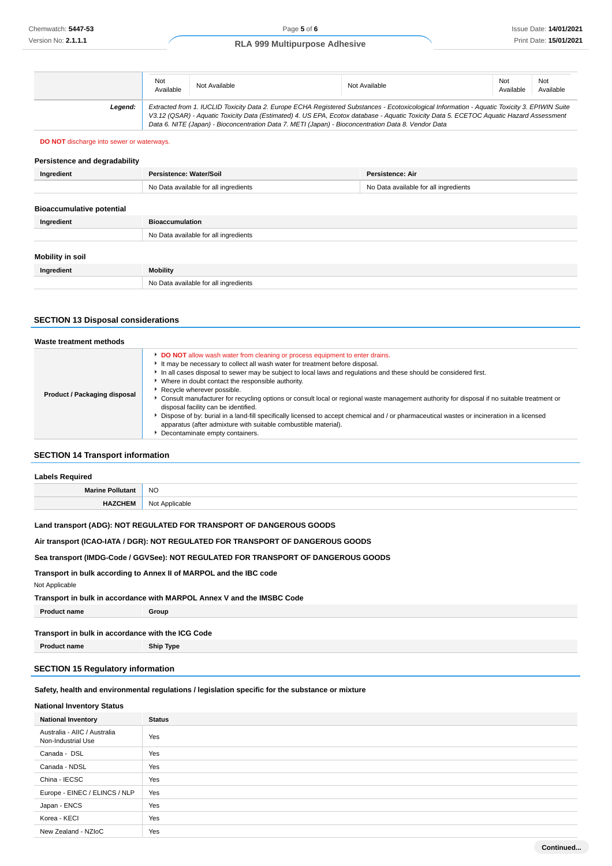|         | Not<br>Available | Not Available                                                                                                                                                                                                                                                                                                                                                                                   | Not Available | Not<br>Available | Not<br>Available |
|---------|------------------|-------------------------------------------------------------------------------------------------------------------------------------------------------------------------------------------------------------------------------------------------------------------------------------------------------------------------------------------------------------------------------------------------|---------------|------------------|------------------|
| Leaend: |                  | Extracted from 1. IUCLID Toxicity Data 2. Europe ECHA Registered Substances - Ecotoxicological Information - Aquatic Toxicity 3. EPIWIN Suite<br>V3.12 (QSAR) - Aquatic Toxicity Data (Estimated) 4. US EPA, Ecotox database - Aquatic Toxicity Data 5. ECETOC Aquatic Hazard Assessment<br>Data 6. NITE (Japan) - Bioconcentration Data 7. METI (Japan) - Bioconcentration Data 8. Vendor Data |               |                  |                  |

#### **DO NOT** discharge into sewer or waterways.

| Persistence and degradability    |                                       |                                       |
|----------------------------------|---------------------------------------|---------------------------------------|
| Ingredient                       | Persistence: Water/Soil               | <b>Persistence: Air</b>               |
|                                  | No Data available for all ingredients | No Data available for all ingredients |
|                                  |                                       |                                       |
| <b>Bioaccumulative potential</b> |                                       |                                       |
| Ingredient                       | <b>Bioaccumulation</b>                |                                       |
|                                  | No Data available for all ingredients |                                       |
|                                  |                                       |                                       |
| Mobility in soil                 |                                       |                                       |
| Ingredient                       | <b>Mobility</b>                       |                                       |
|                                  | No Data available for all ingredients |                                       |

#### **SECTION 13 Disposal considerations**

| Waste treatment methods      |                                                                                                                                                                                                                                                                                                                                                                                                                                                                                                                                                                                                                                                                                                                                                                                                                  |
|------------------------------|------------------------------------------------------------------------------------------------------------------------------------------------------------------------------------------------------------------------------------------------------------------------------------------------------------------------------------------------------------------------------------------------------------------------------------------------------------------------------------------------------------------------------------------------------------------------------------------------------------------------------------------------------------------------------------------------------------------------------------------------------------------------------------------------------------------|
| Product / Packaging disposal | DO NOT allow wash water from cleaning or process equipment to enter drains.<br>It may be necessary to collect all wash water for treatment before disposal.<br>In all cases disposal to sewer may be subject to local laws and regulations and these should be considered first.<br>Where in doubt contact the responsible authority.<br>Recycle wherever possible.<br>► Consult manufacturer for recycling options or consult local or regional waste management authority for disposal if no suitable treatment or<br>disposal facility can be identified.<br>Dispose of by: burial in a land-fill specifically licensed to accept chemical and / or pharmaceutical wastes or incineration in a licensed<br>apparatus (after admixture with suitable combustible material).<br>Decontaminate empty containers. |

## **SECTION 14 Transport information**

| <b>Labels Required</b> |                |
|------------------------|----------------|
| Marine Pollutant       | <b>NO</b>      |
| <b>HAZCHEM</b>         | Not Applicable |

#### **Land transport (ADG): NOT REGULATED FOR TRANSPORT OF DANGEROUS GOODS**

## **Air transport (ICAO-IATA / DGR): NOT REGULATED FOR TRANSPORT OF DANGEROUS GOODS**

## **Sea transport (IMDG-Code / GGVSee): NOT REGULATED FOR TRANSPORT OF DANGEROUS GOODS**

## **Transport in bulk according to Annex II of MARPOL and the IBC code**

```
Not Applicable
```
#### **Transport in bulk in accordance with MARPOL Annex V and the IMSBC Code**

**Product name Group**

## **Transport in bulk in accordance with the ICG Code Product name Ship Type**

# **SECTION 15 Regulatory information**

## **Safety, health and environmental regulations / legislation specific for the substance or mixture**

## **National Inventory Status**

| <b>National Inventory</b>                          | <b>Status</b> |
|----------------------------------------------------|---------------|
| Australia - AIIC / Australia<br>Non-Industrial Use | Yes           |
| Canada - DSL                                       | Yes           |
| Canada - NDSL                                      | Yes           |
| China - IECSC                                      | Yes           |
| Europe - EINEC / ELINCS / NLP                      | Yes           |
| Japan - ENCS                                       | Yes           |
| Korea - KECI                                       | Yes           |
| New Zealand - NZIoC                                | Yes           |